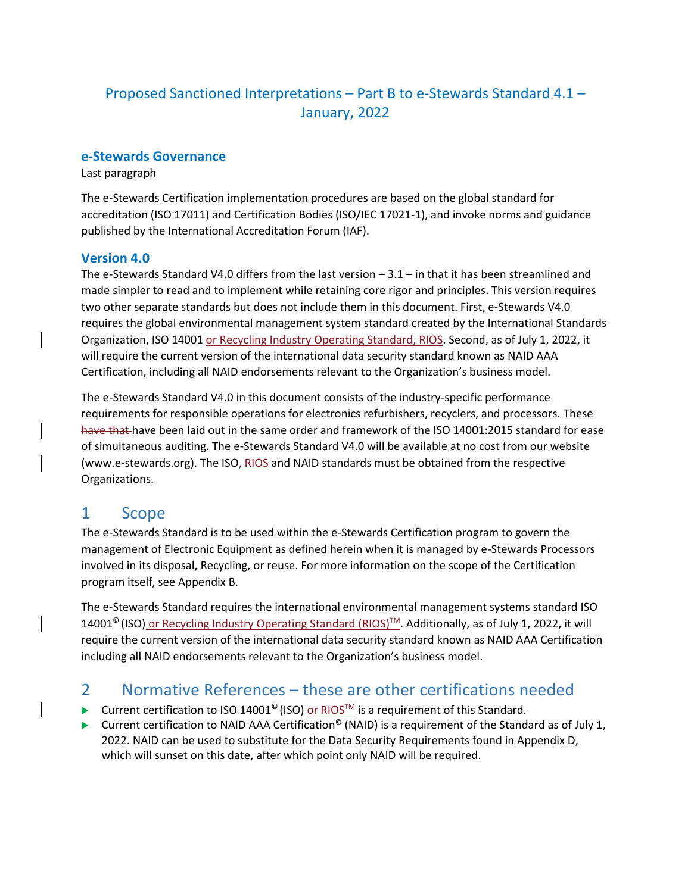# Proposed Sanctioned Interpretations – Part B to e-Stewards Standard 4.1 – January, 2022

### **e-Stewards Governance**

Last paragraph

The e-Stewards Certification implementation procedures are based on the global standard for accreditation (ISO 17011) and Certification Bodies (ISO/IEC 17021-1), and invoke norms and guidance published by the International Accreditation Forum (IAF).

### **Version 4.0**

The e-Stewards Standard V4.0 differs from the last version – 3.1 – in that it has been streamlined and made simpler to read and to implement while retaining core rigor and principles. This version requires two other separate standards but does not include them in this document. First, e-Stewards V4.0 requires the global environmental management system standard created by the International Standards Organization, ISO 14001 or Recycling Industry Operating Standard, RIOS. Second, as of July 1, 2022, it will require the current version of the international data security standard known as NAID AAA Certification, including all NAID endorsements relevant to the Organization's business model.

The e-Stewards Standard V4.0 in this document consists of the industry-specific performance requirements for responsible operations for electronics refurbishers, recyclers, and processors. These have that have been laid out in the same order and framework of the ISO 14001:2015 standard for ease of simultaneous auditing. The e-Stewards Standard V4.0 will be available at no cost from our website (www.e-stewards.org). The ISO, RIOS and NAID standards must be obtained from the respective Organizations.

# 1 Scope

The e-Stewards Standard is to be used within the e-Stewards Certification program to govern the management of Electronic Equipment as defined herein when it is managed by e-Stewards Processors involved in its disposal, Recycling, or reuse. For more information on the scope of the Certification program itself, see Appendix B.

The e-Stewards Standard requires the international environmental management systems standard ISO 14001<sup>©</sup> (ISO) or Recycling Industry Operating Standard (RIOS)<sup>™</sup>. Additionally, as of July 1, 2022, it will require the current version of the international data security standard known as NAID AAA Certification including all NAID endorsements relevant to the Organization's business model.

# 2 Normative References – these are other certifications needed

- Current certification to ISO 14001<sup>©</sup> (ISO) or RIOS<sup>TM</sup> is a requirement of this Standard.
- Current certification to NAID AAA Certification<sup>©</sup> (NAID) is a requirement of the Standard as of July 1, 2022. NAID can be used to substitute for the Data Security Requirements found in Appendix D, which will sunset on this date, after which point only NAID will be required.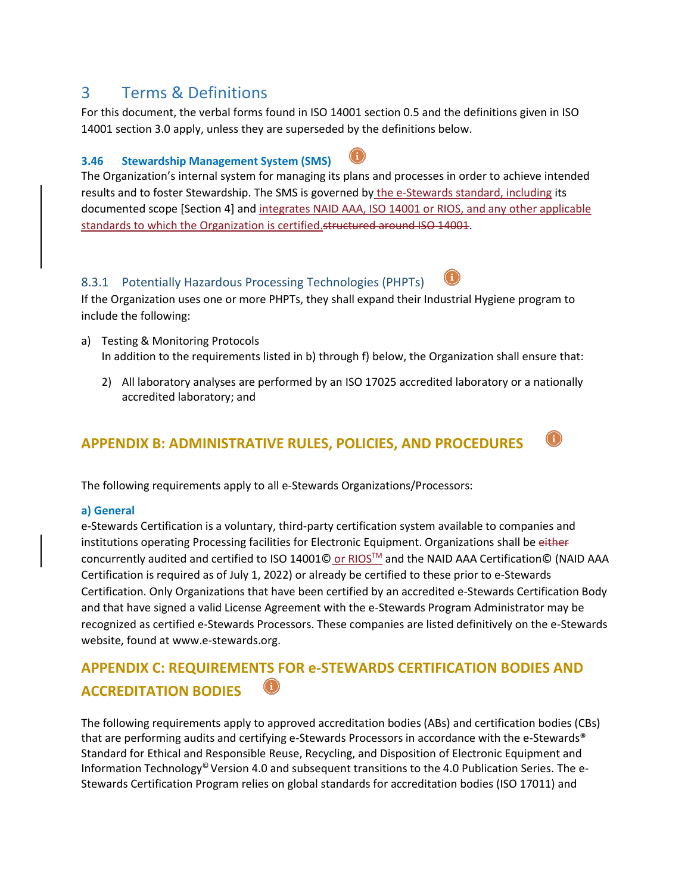# 3 Terms & Definitions

For this document, the verbal forms found in ISO 14001 section 0.5 and the definitions given in ISO 14001 section 3.0 apply, unless they are superseded by the definitions below.

## **3.46 Stewardship Management System (SMS)**

The Organization's internal system for managing its plans and processes in order to achieve intended results and to foster Stewardship. The SMS is governed by the e-Stewards standard, including its documented scope [Section 4] and integrates NAID AAA, ISO 14001 or RIOS, and any other applicable standards to which the Organization is certified.structured around ISO 14001.

## 8.3.1 Potentially Hazardous Processing Technologies (PHPTs)

If the Organization uses one or more PHPTs, they shall expand their Industrial Hygiene program to include the following:

- a) Testing & Monitoring Protocols In addition to the requirements listed in b) through f) below, the Organization shall ensure that:
	- 2) All laboratory analyses are performed by an ISO 17025 accredited laboratory or a nationally accredited laboratory; and

# **APPENDIX B: ADMINISTRATIVE RULES, POLICIES, AND PROCEDURES**

The following requirements apply to all e-Stewards Organizations/Processors:

### **a) General**

e-Stewards Certification is a voluntary, third-party certification system available to companies and institutions operating Processing facilities for Electronic Equipment. Organizations shall be either concurrently audited and certified to ISO 14001© or RIOS™ and the NAID AAA Certification© (NAID AAA Certification is required as of July 1, 2022) or already be certified to these prior to e-Stewards Certification. Only Organizations that have been certified by an accredited e-Stewards Certification Body and that have signed a valid License Agreement with the e-Stewards Program Administrator may be recognized as certified e-Stewards Processors. These companies are listed definitively on the e-Stewards website, found at www.e-stewards.org.

# **APPENDIX C: REQUIREMENTS FOR e-STEWARDS CERTIFICATION BODIES AND ACCREDITATION BODIES**

The following requirements apply to approved accreditation bodies (ABs) and certification bodies (CBs) that are performing audits and certifying e-Stewards Processors in accordance with the e-Stewards® Standard for Ethical and Responsible Reuse, Recycling, and Disposition of Electronic Equipment and Information Technology© Version 4.0 and subsequent transitions to the 4.0 Publication Series. The e-Stewards Certification Program relies on global standards for accreditation bodies (ISO 17011) and





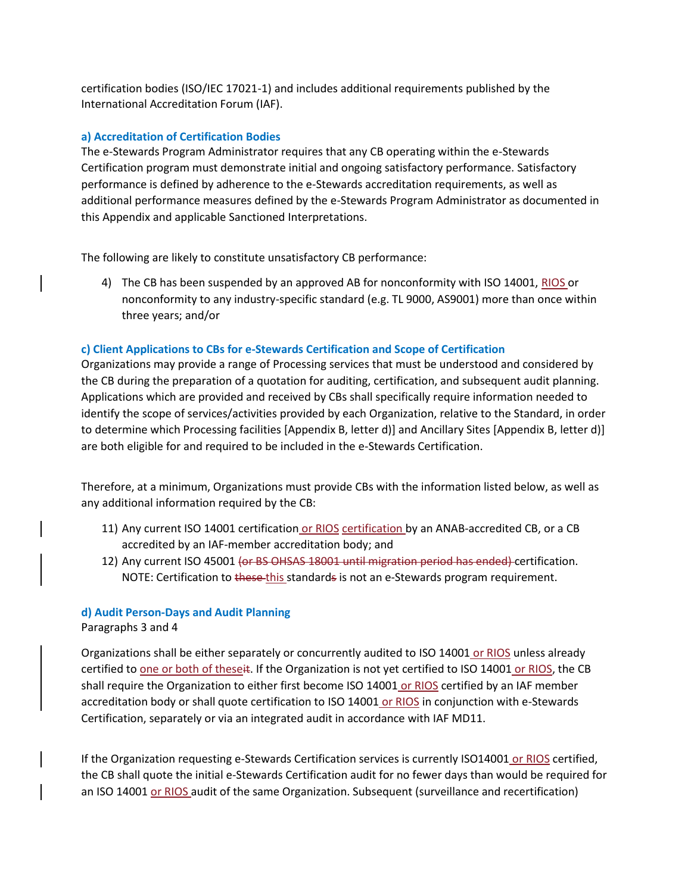certification bodies (ISO/IEC 17021-1) and includes additional requirements published by the International Accreditation Forum (IAF).

#### **a) Accreditation of Certification Bodies**

The e-Stewards Program Administrator requires that any CB operating within the e-Stewards Certification program must demonstrate initial and ongoing satisfactory performance. Satisfactory performance is defined by adherence to the e-Stewards accreditation requirements, as well as additional performance measures defined by the e-Stewards Program Administrator as documented in this Appendix and applicable Sanctioned Interpretations.

The following are likely to constitute unsatisfactory CB performance:

4) The CB has been suspended by an approved AB for nonconformity with ISO 14001, RIOS or nonconformity to any industry-specific standard (e.g. TL 9000, AS9001) more than once within three years; and/or

#### **c) Client Applications to CBs for e-Stewards Certification and Scope of Certification**

Organizations may provide a range of Processing services that must be understood and considered by the CB during the preparation of a quotation for auditing, certification, and subsequent audit planning. Applications which are provided and received by CBs shall specifically require information needed to identify the scope of services/activities provided by each Organization, relative to the Standard, in order to determine which Processing facilities [Appendix B, letter d)] and Ancillary Sites [Appendix B, letter d)] are both eligible for and required to be included in the e-Stewards Certification.

Therefore, at a minimum, Organizations must provide CBs with the information listed below, as well as any additional information required by the CB:

- 11) Any current ISO 14001 certification or RIOS certification by an ANAB-accredited CB, or a CB accredited by an IAF-member accreditation body; and
- 12) Any current ISO 45001 (or BS OHSAS 18001 until migration period has ended) certification. NOTE: Certification to these-this standards is not an e-Stewards program requirement.

#### **d) Audit Person-Days and Audit Planning**

#### Paragraphs 3 and 4

Organizations shall be either separately or concurrently audited to ISO 14001 or RIOS unless already certified to one or both of theseit. If the Organization is not yet certified to ISO 14001 or RIOS, the CB shall require the Organization to either first become ISO 14001 or RIOS certified by an IAF member accreditation body or shall quote certification to ISO 14001 or RIOS in conjunction with e-Stewards Certification, separately or via an integrated audit in accordance with IAF MD11.

If the Organization requesting e-Stewards Certification services is currently ISO14001 or RIOS certified, the CB shall quote the initial e-Stewards Certification audit for no fewer days than would be required for an ISO 14001 or RIOS audit of the same Organization. Subsequent (surveillance and recertification)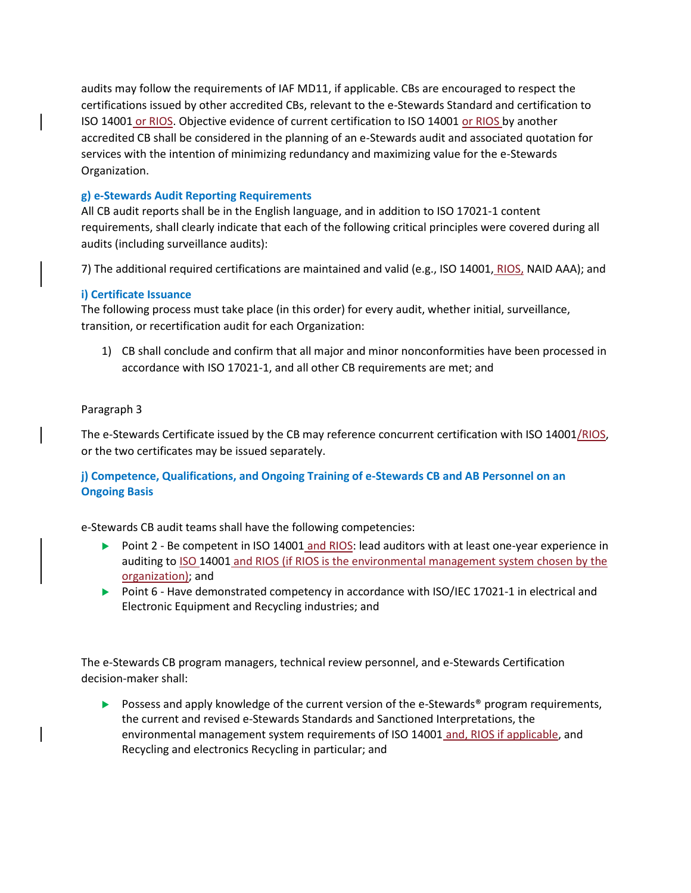audits may follow the requirements of IAF MD11, if applicable. CBs are encouraged to respect the certifications issued by other accredited CBs, relevant to the e-Stewards Standard and certification to ISO 14001 or RIOS. Objective evidence of current certification to ISO 14001 or RIOS by another accredited CB shall be considered in the planning of an e-Stewards audit and associated quotation for services with the intention of minimizing redundancy and maximizing value for the e-Stewards Organization.

### **g) e-Stewards Audit Reporting Requirements**

All CB audit reports shall be in the English language, and in addition to ISO 17021-1 content requirements, shall clearly indicate that each of the following critical principles were covered during all audits (including surveillance audits):

7) The additional required certifications are maintained and valid (e.g., ISO 14001, RIOS, NAID AAA); and

#### **i) Certificate Issuance**

The following process must take place (in this order) for every audit, whether initial, surveillance, transition, or recertification audit for each Organization:

1) CB shall conclude and confirm that all major and minor nonconformities have been processed in accordance with ISO 17021-1, and all other CB requirements are met; and

#### Paragraph 3

The e-Stewards Certificate issued by the CB may reference concurrent certification with ISO 14001/RIOS, or the two certificates may be issued separately.

### **j) Competence, Qualifications, and Ongoing Training of e-Stewards CB and AB Personnel on an Ongoing Basis**

e-Stewards CB audit teams shall have the following competencies:

- Point 2 Be competent in ISO 14001 and RIOS: lead auditors with at least one-year experience in auditing to ISO 14001 and RIOS (if RIOS is the environmental management system chosen by the organization); and
- Point 6 Have demonstrated competency in accordance with ISO/IEC 17021-1 in electrical and Electronic Equipment and Recycling industries; and

The e-Stewards CB program managers, technical review personnel, and e-Stewards Certification decision-maker shall:

**Possess and apply knowledge of the current version of the e-Stewards**® program requirements, the current and revised e-Stewards Standards and Sanctioned Interpretations, the environmental management system requirements of ISO 14001 and, RIOS if applicable, and Recycling and electronics Recycling in particular; and